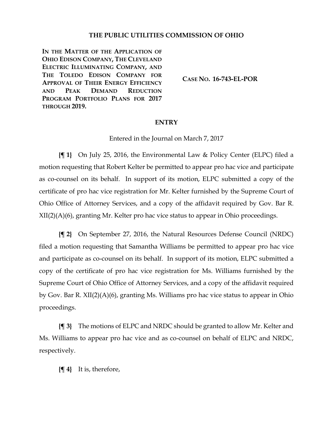## **THE PUBLIC UTILITIES COMMISSION OF OHIO**

IN THE MATTER OF THE APPLICATION OF **OHIO EDISON COMPANY, THE CLEVELAND ELECTRIC ILLUMINATING COMPANY, AND THE TOLEDO EDISON COMPANY FOR APPROVAL OF THEIR ENERGY EFFICIENCY AND PEAK DEMAND REDUCTION PROGRAM PORTFOLIO PLANS FOR 2017 THROUGH 2019.**

**CASE NO. 16-743-EL-POR**

## **ENTRY**

Entered in the Journal on March 7, 2017

**{¶ 1}** On July 25, 2016, the Environmental Law & Policy Center (ELPC) filed a motion requesting that Robert Kelter be permitted to appear pro hac vice and participate as co-counsel on its behalf. In support of its motion, ELPC submitted a copy of the certificate of pro hac vice registration for Mr. Kelter furnished by the Supreme Court of Ohio Office of Attorney Services, and a copy of the affidavit required by Gov. Bar R. XII(2)(A)(6), granting Mr. Kelter pro hac vice status to appear in Ohio proceedings.

**{¶ 2}** On September 27, 2016, the Natural Resources Defense Council (NRDC) filed a motion requesting that Samantha Williams be permitted to appear pro hac vice and participate as co-counsel on its behalf. In support of its motion, ELPC submitted a copy of the certificate of pro hac vice registration for Ms. Williams furnished by the Supreme Court of Ohio Office of Attorney Services, and a copy of the affidavit required by Gov. Bar R. XII(2)(A)(6), granting Ms. Williams pro hac vice status to appear in Ohio proceedings.

**{¶ 3}** The motions of ELPC and NRDC should be granted to allow Mr. Kelter and Ms. Williams to appear pro hac vice and as co-counsel on behalf of ELPC and NRDC, respectively.

**{¶ 4}** It is, therefore,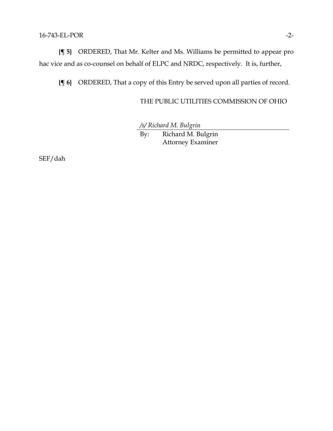**{¶ 5}** ORDERED, That Mr. Kelter and Ms. Williams be permitted to appear pro hac vice and as co-counsel on behalf of ELPC and NRDC, respectively. It is, further,

**{¶ 6}** ORDERED, That a copy of this Entry be served upon all parties of record.

## THE PUBLIC UTILITIES COMMISSION OF OHIO

*/s/ Richard M. Bulgrin*

By: Richard M. Bulgrin Attorney Examiner

SEF/dah